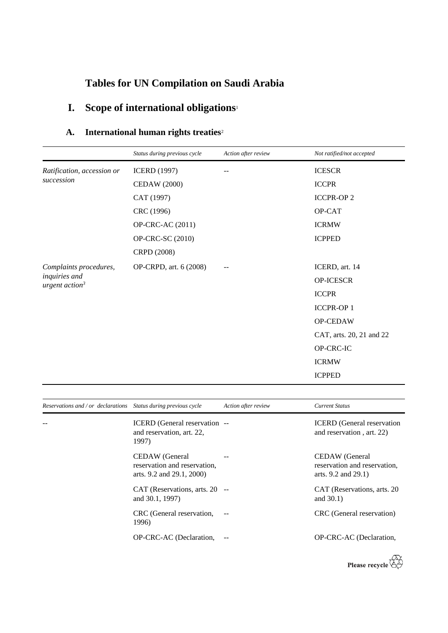# **Tables for UN Compilation on Saudi Arabia**

# **I. Scope of international obligations**<sup>1</sup>

## **A. International human rights treaties**<sup>2</sup>

|                                                             | Status during previous cycle | Action after review | Not ratified/not accepted |
|-------------------------------------------------------------|------------------------------|---------------------|---------------------------|
| Ratification, accession or                                  | <b>ICERD</b> (1997)          |                     | <b>ICESCR</b>             |
| succession                                                  | <b>CEDAW (2000)</b>          |                     | <b>ICCPR</b>              |
|                                                             | CAT (1997)                   |                     | <b>ICCPR-OP2</b>          |
|                                                             | CRC (1996)                   |                     | OP-CAT                    |
|                                                             | OP-CRC-AC (2011)             |                     | <b>ICRMW</b>              |
|                                                             | OP-CRC-SC (2010)             |                     | <b>ICPPED</b>             |
|                                                             | CRPD (2008)                  |                     |                           |
| Complaints procedures,<br>inquiries and<br>urgent $action3$ | OP-CRPD, art. 6 (2008)       |                     | ICERD, art. 14            |
|                                                             |                              |                     | OP-ICESCR                 |
|                                                             |                              |                     | <b>ICCPR</b>              |
|                                                             |                              |                     | ICCPR-OP 1                |
|                                                             |                              |                     | OP-CEDAW                  |
|                                                             |                              |                     | CAT, arts. 20, 21 and 22  |
|                                                             |                              |                     | OP-CRC-IC                 |
|                                                             |                              |                     | <b>ICRMW</b>              |
|                                                             |                              |                     | <b>ICPPED</b>             |

| Reservations and / or declarations Status during previous cycle |                                                                             | Action after review | <b>Current Status</b>                                                 |
|-----------------------------------------------------------------|-----------------------------------------------------------------------------|---------------------|-----------------------------------------------------------------------|
|                                                                 | ICERD (General reservation --<br>and reservation, art. 22,<br>1997)         |                     | <b>ICERD</b> (General reservation<br>and reservation, art. 22)        |
|                                                                 | CEDAW (General<br>reservation and reservation.<br>arts. 9.2 and 29.1, 2000) |                     | CEDAW (General<br>reservation and reservation.<br>arts. 9.2 and 29.1) |
|                                                                 | CAT (Reservations, arts. 20 --<br>and 30.1, 1997)                           |                     | CAT (Reservations, arts. 20)<br>and $30.1$ )                          |
|                                                                 | CRC (General reservation,<br>1996)                                          |                     | CRC (General reservation)                                             |
|                                                                 | OP-CRC-AC (Declaration,                                                     | $ -$                | OP-CRC-AC (Declaration,                                               |

Please recycle  $\overleftrightarrow{C}$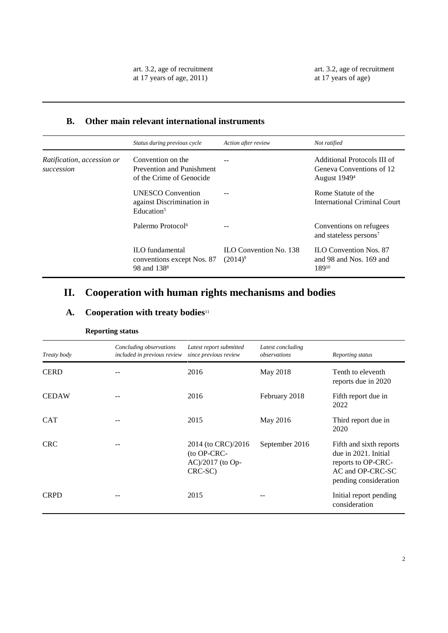#### **B. Other main relevant international instruments**

|                                          | Status during previous cycle                                                    | Action after review                  | Not ratified                                                                        |
|------------------------------------------|---------------------------------------------------------------------------------|--------------------------------------|-------------------------------------------------------------------------------------|
| Ratification, accession or<br>succession | Convention on the<br>Prevention and Punishment<br>of the Crime of Genocide      |                                      | Additional Protocols III of<br>Geneva Conventions of 12<br>August 1949 <sup>4</sup> |
|                                          | <b>UNESCO</b> Convention<br>against Discrimination in<br>Education <sup>5</sup> |                                      | Rome Statute of the<br>International Criminal Court                                 |
|                                          | Palermo Protocol <sup>6</sup>                                                   |                                      | Conventions on refugees<br>and stateless persons <sup>7</sup>                       |
|                                          | <b>ILO</b> fundamental<br>conventions except Nos. 87<br>98 and 138 <sup>8</sup> | ILO Convention No. 138<br>$(2014)^9$ | <b>ILO</b> Convention Nos. 87<br>and 98 and Nos. 169 and<br>18910                   |

## **II. Cooperation with human rights mechanisms and bodies**

### **A. Cooperation with treaty bodies**<sup>11</sup>

| Treaty body  | Concluding observations<br>included in previous review | Latest report submitted<br>since previous review                 | Latest concluding<br>observations | Reporting status                                                                                                   |
|--------------|--------------------------------------------------------|------------------------------------------------------------------|-----------------------------------|--------------------------------------------------------------------------------------------------------------------|
| <b>CERD</b>  |                                                        | 2016                                                             | May 2018                          | Tenth to eleventh<br>reports due in 2020                                                                           |
| <b>CEDAW</b> |                                                        | 2016                                                             | February 2018                     | Fifth report due in<br>2022                                                                                        |
| <b>CAT</b>   |                                                        | 2015                                                             | May 2016                          | Third report due in<br>2020                                                                                        |
| <b>CRC</b>   |                                                        | 2014 (to CRC)/2016<br>(to OP-CRC-<br>AC)/2017 (to Op-<br>CRC-SC) | September 2016                    | Fifth and sixth reports<br>due in 2021. Initial<br>reports to OP-CRC-<br>AC and OP-CRC-SC<br>pending consideration |
| <b>CRPD</b>  |                                                        | 2015                                                             |                                   | Initial report pending<br>consideration                                                                            |

#### **Reporting status**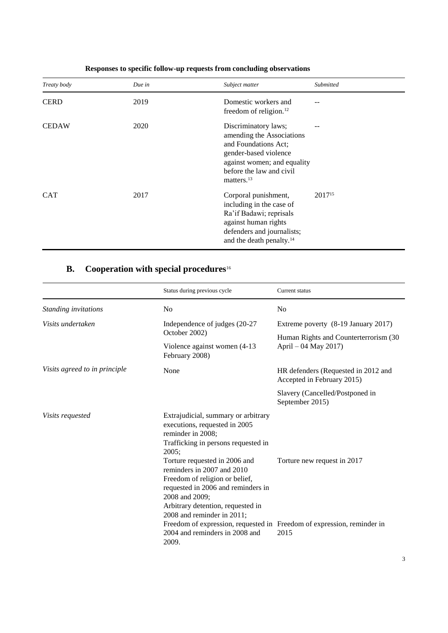| Treaty body  | Due in | Subject matter                                                                                                                                                                 | Submitted          |
|--------------|--------|--------------------------------------------------------------------------------------------------------------------------------------------------------------------------------|--------------------|
| <b>CERD</b>  | 2019   | Domestic workers and<br>freedom of religion. <sup>12</sup>                                                                                                                     |                    |
| <b>CEDAW</b> | 2020   | Discriminatory laws;<br>amending the Associations<br>and Foundations Act;<br>gender-based violence<br>against women; and equality<br>before the law and civil<br>matters. $13$ |                    |
| <b>CAT</b>   | 2017   | Corporal punishment,<br>including in the case of<br>Ra'if Badawi; reprisals<br>against human rights<br>defenders and journalists;<br>and the death penalty. <sup>14</sup>      | 2017 <sup>15</sup> |

### **Responses to specific follow-up requests from concluding observations**

## **B. Cooperation with special procedures**<sup>16</sup>

|                               | Status during previous cycle                                                                                                                                                                                                                                                                                                                                                                                     | Current status                                                                                                |
|-------------------------------|------------------------------------------------------------------------------------------------------------------------------------------------------------------------------------------------------------------------------------------------------------------------------------------------------------------------------------------------------------------------------------------------------------------|---------------------------------------------------------------------------------------------------------------|
| Standing invitations          | N <sub>0</sub>                                                                                                                                                                                                                                                                                                                                                                                                   | No                                                                                                            |
| Visits undertaken             | Independence of judges (20-27<br>October 2002)                                                                                                                                                                                                                                                                                                                                                                   | Extreme poverty (8-19 January 2017)<br>Human Rights and Counterterrorism (30                                  |
|                               | Violence against women (4-13)<br>February 2008)                                                                                                                                                                                                                                                                                                                                                                  | April – 04 May 2017)                                                                                          |
| Visits agreed to in principle | None                                                                                                                                                                                                                                                                                                                                                                                                             | HR defenders (Requested in 2012 and<br>Accepted in February 2015)                                             |
|                               |                                                                                                                                                                                                                                                                                                                                                                                                                  | Slavery (Cancelled/Postponed in<br>September 2015)                                                            |
| Visits requested              | Extrajudicial, summary or arbitrary<br>executions, requested in 2005<br>reminder in 2008;<br>Trafficking in persons requested in<br>2005;<br>Torture requested in 2006 and<br>reminders in 2007 and 2010<br>Freedom of religion or belief,<br>requested in 2006 and reminders in<br>2008 and 2009;<br>Arbitrary detention, requested in<br>2008 and reminder in 2011;<br>2004 and reminders in 2008 and<br>2009. | Torture new request in 2017<br>Freedom of expression, requested in Freedom of expression, reminder in<br>2015 |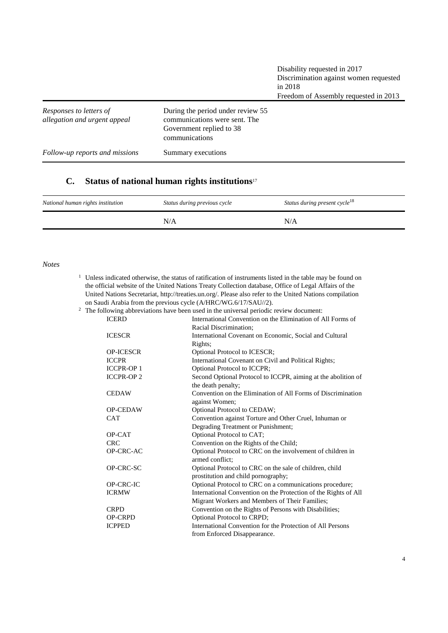| Responses to letters of<br>allegation and urgent appeal | During the period under review 55<br>communications were sent. The<br>Government replied to 38<br>communications |
|---------------------------------------------------------|------------------------------------------------------------------------------------------------------------------|
| Follow-up reports and missions                          | Summary executions                                                                                               |

### **C. Status of national human rights institutions**<sup>17</sup>

| National human rights institution | Status during previous cycle | Status during present cycle <sup>18</sup> |
|-----------------------------------|------------------------------|-------------------------------------------|
|                                   | N/A                          | N/A                                       |

#### *Notes*

<sup>1</sup> Unless indicated otherwise, the status of ratification of instruments listed in the table may be found on the official website of the United Nations Treaty Collection database, Office of Legal Affairs of the United Nations Secretariat, http://treaties.un.org/. Please also refer to the United Nations compilation on Saudi Arabia from the previous cycle (A/HRC/WG.6/17/SAU//2).

|  |  | $2\degree$ The following abbreviations have been used in the universal periodic review document: |  |  |  |  |  |  |  |
|--|--|--------------------------------------------------------------------------------------------------|--|--|--|--|--|--|--|
|--|--|--------------------------------------------------------------------------------------------------|--|--|--|--|--|--|--|

| <b>ICERD</b>     | following aboleviations have been used in the universal periodic feview document.<br>International Convention on the Elimination of All Forms of |
|------------------|--------------------------------------------------------------------------------------------------------------------------------------------------|
|                  | Racial Discrimination:                                                                                                                           |
| <b>ICESCR</b>    | International Covenant on Economic, Social and Cultural                                                                                          |
|                  | Rights:                                                                                                                                          |
| <b>OP-ICESCR</b> | Optional Protocol to ICESCR;                                                                                                                     |
| <b>ICCPR</b>     | International Covenant on Civil and Political Rights;                                                                                            |
| <b>ICCPR-OP1</b> | Optional Protocol to ICCPR;                                                                                                                      |
| <b>ICCPR-OP2</b> | Second Optional Protocol to ICCPR, aiming at the abolition of                                                                                    |
|                  | the death penalty;                                                                                                                               |
| <b>CEDAW</b>     | Convention on the Elimination of All Forms of Discrimination                                                                                     |
|                  | against Women;                                                                                                                                   |
| <b>OP-CEDAW</b>  | Optional Protocol to CEDAW;                                                                                                                      |
| <b>CAT</b>       | Convention against Torture and Other Cruel, Inhuman or                                                                                           |
|                  | Degrading Treatment or Punishment;                                                                                                               |
| OP-CAT           | Optional Protocol to CAT;                                                                                                                        |
| <b>CRC</b>       | Convention on the Rights of the Child;                                                                                                           |
| OP-CRC-AC        | Optional Protocol to CRC on the involvement of children in                                                                                       |
|                  | armed conflict:                                                                                                                                  |
| OP-CRC-SC        | Optional Protocol to CRC on the sale of children, child                                                                                          |
|                  | prostitution and child pornography;                                                                                                              |
| OP-CRC-IC        | Optional Protocol to CRC on a communications procedure;                                                                                          |
| <b>ICRMW</b>     | International Convention on the Protection of the Rights of All                                                                                  |
|                  | Migrant Workers and Members of Their Families;                                                                                                   |
| <b>CRPD</b>      | Convention on the Rights of Persons with Disabilities;                                                                                           |
| <b>OP-CRPD</b>   | Optional Protocol to CRPD;                                                                                                                       |
| <b>ICPPED</b>    | International Convention for the Protection of All Persons                                                                                       |
|                  | from Enforced Disappearance.                                                                                                                     |
|                  |                                                                                                                                                  |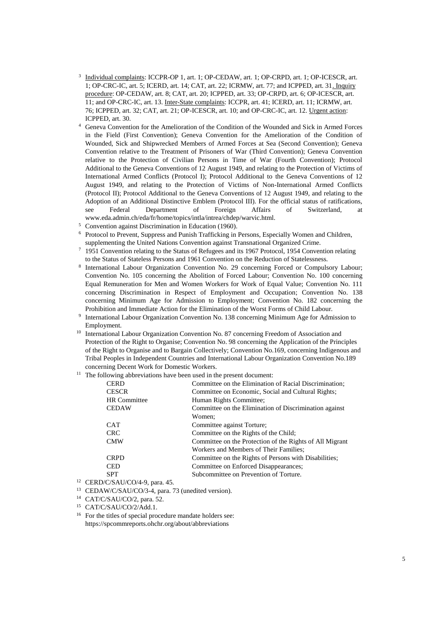- <sup>3</sup> Individual complaints: ICCPR-OP 1, art. 1; OP-CEDAW, art. 1; OP-CRPD, art. 1; OP-ICESCR, art. 1; OP-CRC-IC, art. 5; ICERD, art. 14; CAT, art. 22; ICRMW, art. 77; and ICPPED, art. 31. Inquiry procedure: OP-CEDAW, art. 8; CAT, art. 20; ICPPED, art. 33; OP-CRPD, art. 6; OP-ICESCR, art. 11; and OP-CRC-IC, art. 13. Inter-State complaints: ICCPR, art. 41; ICERD, art. 11; ICRMW, art. 76; ICPPED, art. 32; CAT, art. 21; OP-ICESCR, art. 10; and OP-CRC-IC, art. 12. Urgent action: ICPPED, art. 30.
- <sup>4</sup> Geneva Convention for the Amelioration of the Condition of the Wounded and Sick in Armed Forces in the Field (First Convention); Geneva Convention for the Amelioration of the Condition of Wounded, Sick and Shipwrecked Members of Armed Forces at Sea (Second Convention); Geneva Convention relative to the Treatment of Prisoners of War (Third Convention); Geneva Convention relative to the Protection of Civilian Persons in Time of War (Fourth Convention); Protocol Additional to the Geneva Conventions of 12 August 1949, and relating to the Protection of Victims of International Armed Conflicts (Protocol I); Protocol Additional to the Geneva Conventions of 12 August 1949, and relating to the Protection of Victims of Non-International Armed Conflicts (Protocol II); Protocol Additional to the Geneva Conventions of 12 August 1949, and relating to the Adoption of an Additional Distinctive Emblem (Protocol III). For the official status of ratifications, see Federal Department of Foreign Affairs of Switzerland, at www.eda.admin.ch/eda/fr/home/topics/intla/intrea/chdep/warvic.html.
- <sup>5</sup> Convention against Discrimination in Education (1960).
- <sup>6</sup> Protocol to Prevent, Suppress and Punish Trafficking in Persons, Especially Women and Children, supplementing the United Nations Convention against Transnational Organized Crime.
- <sup>7</sup> 1951 Convention relating to the Status of Refugees and its 1967 Protocol, 1954 Convention relating to the Status of Stateless Persons and 1961 Convention on the Reduction of Statelessness.
- 8 International Labour Organization Convention No. 29 concerning Forced or Compulsory Labour; Convention No. 105 concerning the Abolition of Forced Labour; Convention No. 100 concerning Equal Remuneration for Men and Women Workers for Work of Equal Value; Convention No. 111 concerning Discrimination in Respect of Employment and Occupation; Convention No. 138 concerning Minimum Age for Admission to Employment; Convention No. 182 concerning the Prohibition and Immediate Action for the Elimination of the Worst Forms of Child Labour.
- 9 International Labour Organization Convention No. 138 concerning Minimum Age for Admission to Employment.
- <sup>10</sup> International Labour Organization Convention No. 87 concerning Freedom of Association and Protection of the Right to Organise; Convention No. 98 concerning the Application of the Principles of the Right to Organise and to Bargain Collectively; Convention No.169, concerning Indigenous and Tribal Peoples in Independent Countries and International Labour Organization Convention No.189 concerning Decent Work for Domestic Workers.
- $11$  The following abbreviations have been used in the present document:

| <b>CERD</b>         | Committee on the Elimination of Racial Discrimination;   |
|---------------------|----------------------------------------------------------|
| <b>CESCR</b>        | Committee on Economic, Social and Cultural Rights;       |
| <b>HR</b> Committee | Human Rights Committee;                                  |
| <b>CEDAW</b>        | Committee on the Elimination of Discrimination against   |
|                     | Women:                                                   |
| <b>CAT</b>          | Committee against Torture;                               |
| <b>CRC</b>          | Committee on the Rights of the Child;                    |
| <b>CMW</b>          | Committee on the Protection of the Rights of All Migrant |
|                     | Workers and Members of Their Families;                   |
| <b>CRPD</b>         | Committee on the Rights of Persons with Disabilities;    |
| <b>CED</b>          | Committee on Enforced Disappearances;                    |
| <b>SPT</b>          | Subcommittee on Prevention of Torture.                   |
|                     |                                                          |

- <sup>12</sup> CERD/C/SAU/CO/4-9, para. 45.
- <sup>13</sup> CEDAW/C/SAU/CO/3-4, para. 73 (unedited version).
- <sup>14</sup> CAT/C/SAU/CO/2, para. 52.
- <sup>15</sup> CAT/C/SAU/CO/2/Add.1.
- <sup>16</sup> For the titles of special procedure mandate holders see: https://spcommreports.ohchr.org/about/abbreviations